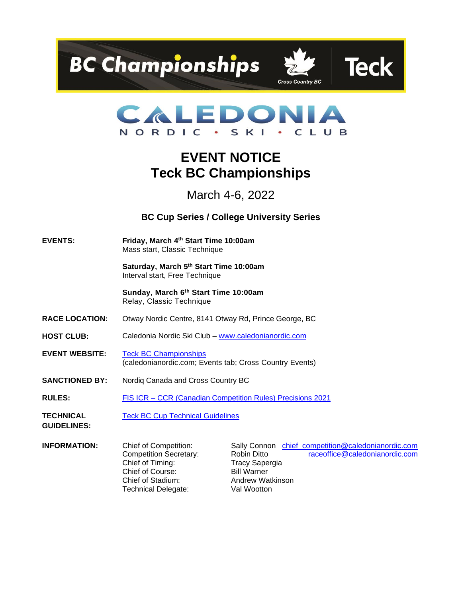





# **EVENT NOTICE Teck BC Championships**

March 4-6, 2022

**BC Cup Series / College University Series**

**EVENTS: Friday, March 4th Start Time 10:00am**  Mass start, Classic Technique

> **Saturday, March 5th Start Time 10:00am**  Interval start, Free Technique

> **Sunday, March 6 th Start Time 10:00am**  Relay, Classic Technique

- **RACE LOCATION:** Otway Nordic Centre, 8141 Otway Rd, Prince George, BC
- HOST CLUB: Caledonia Nordic Ski Club [www.caledonianordic.com](http://www.caledonianordic.com/)
- **EVENT WEBSITE:** [Teck BC Championships](https://www.caledonianordic.com/events/cross-country-events/teck-bc-championships) (caledonianordic.com; Events tab; Cross Country Events)
- **SANCTIONED BY:** Nordiq Canada and Cross Country BC
- **RULES:** FIS ICR [CCR \(Canadian Competition Rules\) Precisions 2021](https://nordiqcanada.ca/wp-content/uploads/final-ICR-CCR-NOV-2021-with-precisions-En.pdf)

**TECHNICAL**  [Teck BC Cup Technical Guidelines](https://www.crosscountrybc.ca/sites/default/files/documents/2022%20Teck%20BC%20Cup%20Series%20TG%2C%20July%2027%2C%202022.pdf)

**GUIDELINES:**

Chief of Timing: Tracy Sapergia Chief of Course: Bill Warner Chief of Stadium: Andrew Watkinson Technical Delegate: Val Wootton

**INFORMATION:** Chief of Competition: Sally Connon chief competition@caledonianordic.com Competition Secretary: Robin Ditto [raceoffice@caledonianordic.com](mailto:raceoffice@caledonianordic.com)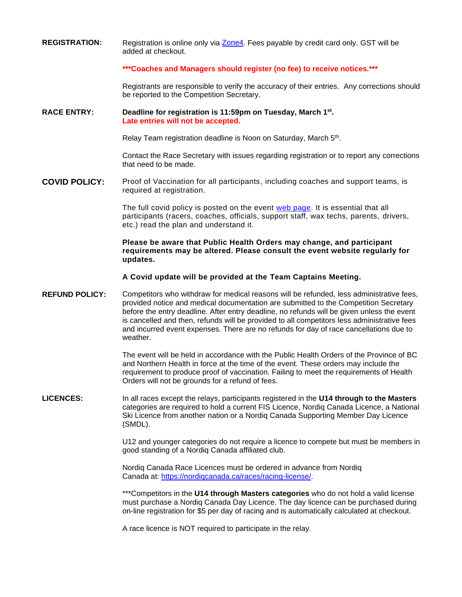**REGISTRATION:** Registration is online only via [Zone4.](https://zone4.ca/reg.asp?id=28256) Fees payable by credit card only. GST will be added at checkout.

#### **\*\*\*Coaches and Managers should register (no fee) to receive notices.\*\*\***

Registrants are responsible to verify the accuracy of their entries. Any corrections should be reported to the Competition Secretary.

#### **RACE ENTRY: Deadline for registration is 11:59pm on Tuesday, March 1st . Late entries will not be accepted.**

Relay Team registration deadline is Noon on Saturday, March 5<sup>th</sup>.

Contact the Race Secretary with issues regarding registration or to report any corrections that need to be made.

**COVID POLICY:** Proof of Vaccination for all participants, including coaches and support teams, is required at registration.

> The full covid policy is posted on the event [web page.](https://www.caledonianordic.com/events/cross-country-events/teck-bc-championships) It is essential that all participants (racers, coaches, officials, support staff, wax techs, parents, drivers, etc.) read the plan and understand it.

### **Please be aware that Public Health Orders may change, and participant requirements may be altered. Please consult the event website regularly for updates.**

**A Covid update will be provided at the Team Captains Meeting.**

**REFUND POLICY:** Competitors who withdraw for medical reasons will be refunded, less administrative fees, provided notice and medical documentation are submitted to the Competition Secretary before the entry deadline. After entry deadline, no refunds will be given unless the event is cancelled and then, refunds will be provided to all competitors less administrative fees and incurred event expenses. There are no refunds for day of race cancellations due to weather.

> The event will be held in accordance with the Public Health Orders of the Province of BC and Northern Health in force at the time of the event. These orders may include the requirement to produce proof of vaccination. Failing to meet the requirements of Health Orders will not be grounds for a refund of fees.

**LICENCES:** In all races except the relays, participants registered in the **U14 through to the Masters** categories are required to hold a current FIS Licence, Nordiq Canada Licence, a National Ski Licence from another nation or a Nordiq Canada Supporting Member Day Licence (SMDL).

> U12 and younger categories do not require a licence to compete but must be members in good standing of a Nordiq Canada affiliated club.

Nordiq Canada Race Licences must be ordered in advance from Nordiq Canada at: [https://nordiqcanada.ca/races/racing-license/.](https://nordiqcanada.ca/races/racing-license/)

\*\*\*Competitors in the **U14 through Masters categories** who do not hold a valid license must purchase a Nordiq Canada Day Licence. The day licence can be purchased during on-line registration for \$5 per day of racing and is automatically calculated at checkout.

A race licence is NOT required to participate in the relay.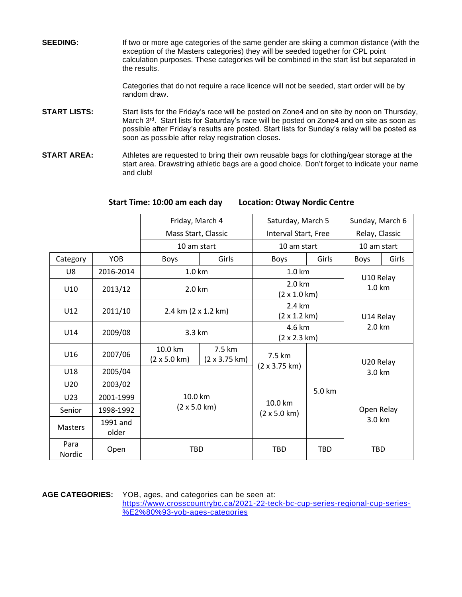**SEEDING:** If two or more age categories of the same gender are skiing a common distance (with the exception of the Masters categories) they will be seeded together for CPL point calculation purposes. These categories will be combined in the start list but separated in the results.

> Categories that do not require a race licence will not be seeded, start order will be by random draw.

- **START LISTS:** Start lists for the Friday's race will be posted on Zone4 and on site by noon on Thursday, March 3<sup>rd</sup>. Start lists for Saturday's race will be posted on Zone4 and on site as soon as possible after Friday's results are posted. Start lists for Sunday's relay will be posted as soon as possible after relay registration closes.
- **START AREA:** Athletes are requested to bring their own reusable bags for clothing/gear storage at the start area. Drawstring athletic bags are a good choice. Don't forget to indicate your name and club!

|                |                     | Friday, March 4                        |                                        | Saturday, March 5                      |                | Sunday, March 6     |           |  |
|----------------|---------------------|----------------------------------------|----------------------------------------|----------------------------------------|----------------|---------------------|-----------|--|
|                | Mass Start, Classic |                                        | Interval Start, Free                   |                                        | Relay, Classic |                     |           |  |
|                |                     | 10 am start                            |                                        | 10 am start                            |                | 10 am start         |           |  |
| Category       | <b>YOB</b>          | Boys                                   | Girls                                  | Boys                                   | Girls          | Boys                | Girls     |  |
| U8             | 2016-2014           | 1.0 km                                 |                                        | $1.0 \mathrm{km}$                      |                | U10 Relay<br>1.0 km |           |  |
| U10            | 2013/12             | 2.0 km                                 |                                        | 2.0 km<br>$(2 \times 1.0 \text{ km})$  |                |                     |           |  |
| U12            | 2011/10             | 2.4 km (2 x 1.2 km)                    |                                        | 2.4 km<br>$(2 \times 1.2 \text{ km})$  |                | U14 Relay<br>2.0 km |           |  |
| U14            | 2009/08             | 3.3 km                                 |                                        | 4.6 km<br>$(2 \times 2.3 \text{ km})$  |                |                     |           |  |
| U16            | 2007/06             | 10.0 km<br>$(2 \times 5.0 \text{ km})$ | 7.5 km<br>$(2 \times 3.75 \text{ km})$ | 7.5 km                                 |                |                     | U20 Relay |  |
| U18            | 2005/04             |                                        |                                        | $(2 \times 3.75 \text{ km})$           |                | 3.0 km              |           |  |
| U20            | 2003/02             |                                        |                                        |                                        |                |                     |           |  |
| U23            | 2001-1999           | 10.0 km<br>$(2 \times 5.0 \text{ km})$ |                                        | 10.0 km<br>$(2 \times 5.0 \text{ km})$ | 5.0 km         |                     |           |  |
| Senior         | 1998-1992           |                                        |                                        |                                        |                | Open Relay          |           |  |
| <b>Masters</b> | 1991 and<br>older   |                                        |                                        |                                        |                | 3.0 km              |           |  |
| Para<br>Nordic | Open                | <b>TBD</b>                             |                                        | <b>TBD</b>                             | <b>TBD</b>     | <b>TBD</b>          |           |  |

## **Start Time: 10:00 am each day Location: Otway Nordic Centre**

**AGE CATEGORIES:** YOB, ages, and categories can be seen at:

[https://www.crosscountrybc.ca/2021-22-teck-bc-cup-series-regional-cup-series-](https://www.crosscountrybc.ca/2021-22-teck-bc-cup-series-regional-cup-series-%E2%80%93-yob-ages-categories) [%E2%80%93-yob-ages-categories](https://www.crosscountrybc.ca/2021-22-teck-bc-cup-series-regional-cup-series-%E2%80%93-yob-ages-categories)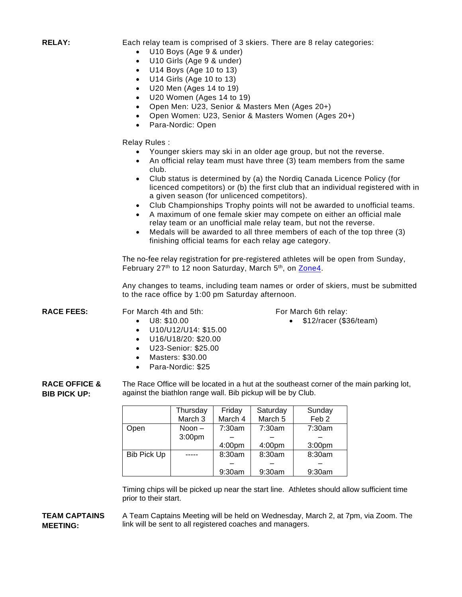**RELAY:** Each relay team is comprised of 3 skiers. There are 8 relay categories:

- U10 Boys (Age 9 & under)
- U10 Girls (Age 9 & under)
- U14 Boys (Age 10 to 13)
- U14 Girls (Age 10 to 13)
- U20 Men (Ages 14 to 19)
- U20 Women (Ages 14 to 19)
- Open Men: U23, Senior & Masters Men (Ages 20+)
- Open Women: U23, Senior & Masters Women (Ages 20+)
- Para-Nordic: Open

Relay Rules :

- Younger skiers may ski in an older age group, but not the reverse.
- An official relay team must have three (3) team members from the same club.
- Club status is determined by (a) the Nordiq Canada Licence Policy (for licenced competitors) or (b) the first club that an individual registered with in a given season (for unlicenced competitors).
- Club Championships Trophy points will not be awarded to unofficial teams.
- A maximum of one female skier may compete on either an official male relay team or an unofficial male relay team, but not the reverse.
- Medals will be awarded to all three members of each of the top three (3) finishing official teams for each relay age category.

The no-fee relay registration for pre-registered athletes will be open from Sunday, February 27<sup>th</sup> to 12 noon Saturday, March 5<sup>th</sup>, on [Zone4.](https://zone4.ca/reg.asp?id=28345)

Any changes to teams, including team names or order of skiers, must be submitted to the race office by 1:00 pm Saturday afternoon.

For March 6th relay:

• \$12/racer (\$36/team)

**RACE FEES:** For March 4th and 5th:

- U8: \$10.00
- U10/U12/U14: \$15.00
- U16/U18/20: \$20.00
- U23-Senior: \$25.00
- Masters: \$30.00
- Para-Nordic: \$25

**RACE OFFICE & BIB PICK UP:** The Race Office will be located in a hut at the southeast corner of the main parking lot, against the biathlon range wall. Bib pickup will be by Club.

|                    | Thursday           | Friday  | Saturday           | Sunday             |
|--------------------|--------------------|---------|--------------------|--------------------|
|                    | March <sub>3</sub> | March 4 | March <sub>5</sub> | Feb <sub>2</sub>   |
| Open               | Noon $-$           | 7:30am  | 7:30am             | 7:30am             |
|                    | 3:00 <sub>pm</sub> |         |                    |                    |
|                    |                    | 4:00pm  | 4:00pm             | 3:00 <sub>pm</sub> |
| <b>Bib Pick Up</b> |                    | 8:30am  | 8:30am             | 8:30am             |
|                    |                    |         |                    |                    |
|                    |                    | 9:30am  | 9:30am             | 9:30am             |

Timing chips will be picked up near the start line. Athletes should allow sufficient time prior to their start.

#### **TEAM CAPTAINS MEETING:** A Team Captains Meeting will be held on Wednesday, March 2, at 7pm, via Zoom. The link will be sent to all registered coaches and managers.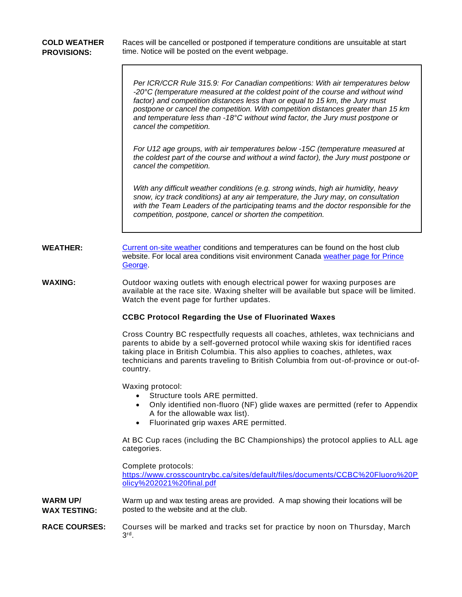| <b>COLD WEATHER</b><br><b>PROVISIONS:</b> | Races will be cancelled or postponed if temperature conditions are unsuitable at start<br>time. Notice will be posted on the event webpage.                                                                                                                                                                                                                                                                                                                   |  |  |  |  |
|-------------------------------------------|---------------------------------------------------------------------------------------------------------------------------------------------------------------------------------------------------------------------------------------------------------------------------------------------------------------------------------------------------------------------------------------------------------------------------------------------------------------|--|--|--|--|
|                                           | Per ICR/CCR Rule 315.9: For Canadian competitions: With air temperatures below<br>-20 $\degree$ C (temperature measured at the coldest point of the course and without wind<br>factor) and competition distances less than or equal to 15 km, the Jury must<br>postpone or cancel the competition. With competition distances greater than 15 km<br>and temperature less than -18°C without wind factor, the Jury must postpone or<br>cancel the competition. |  |  |  |  |
|                                           | For U12 age groups, with air temperatures below -15C (temperature measured at<br>the coldest part of the course and without a wind factor), the Jury must postpone or<br>cancel the competition.                                                                                                                                                                                                                                                              |  |  |  |  |
|                                           | With any difficult weather conditions (e.g. strong winds, high air humidity, heavy<br>snow, icy track conditions) at any air temperature, the Jury may, on consultation<br>with the Team Leaders of the participating teams and the doctor responsible for the<br>competition, postpone, cancel or shorten the competition.                                                                                                                                   |  |  |  |  |
| <b>WEATHER:</b>                           | Current on-site weather conditions and temperatures can be found on the host club<br>website. For local area conditions visit environment Canada weather page for Prince<br>George.                                                                                                                                                                                                                                                                           |  |  |  |  |
| <b>WAXING:</b>                            | Outdoor waxing outlets with enough electrical power for waxing purposes are<br>available at the race site. Waxing shelter will be available but space will be limited.<br>Watch the event page for further updates.                                                                                                                                                                                                                                           |  |  |  |  |
|                                           | <b>CCBC Protocol Regarding the Use of Fluorinated Waxes</b>                                                                                                                                                                                                                                                                                                                                                                                                   |  |  |  |  |
|                                           | Cross Country BC respectfully requests all coaches, athletes, wax technicians and<br>parents to abide by a self-governed protocol while waxing skis for identified races<br>taking place in British Columbia. This also applies to coaches, athletes, wax<br>technicians and parents traveling to British Columbia from out-of-province or out-of-<br>country.                                                                                                |  |  |  |  |
|                                           | Waxing protocol:<br>Structure tools ARE permitted.<br>Only identified non-fluoro (NF) glide waxes are permitted (refer to Appendix<br>A for the allowable wax list).<br>Fluorinated grip waxes ARE permitted.<br>$\bullet$                                                                                                                                                                                                                                    |  |  |  |  |
|                                           | At BC Cup races (including the BC Championships) the protocol applies to ALL age<br>categories.                                                                                                                                                                                                                                                                                                                                                               |  |  |  |  |
|                                           | Complete protocols:<br>https://www.crosscountrybc.ca/sites/default/files/documents/CCBC%20Fluoro%20P<br>olicy%202021%20final.pdf                                                                                                                                                                                                                                                                                                                              |  |  |  |  |
| <b>WARM UP/</b><br><b>WAX TESTING:</b>    | Warm up and wax testing areas are provided. A map showing their locations will be<br>posted to the website and at the club.                                                                                                                                                                                                                                                                                                                                   |  |  |  |  |
| <b>RACE COURSES:</b>                      | Courses will be marked and tracks set for practice by noon on Thursday, March<br>$3rd$ .                                                                                                                                                                                                                                                                                                                                                                      |  |  |  |  |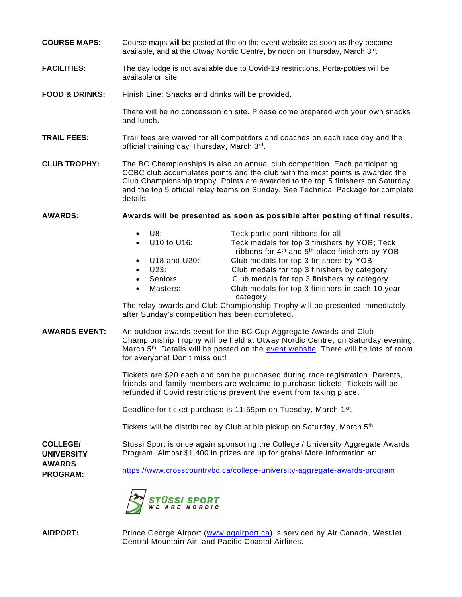- **COURSE MAPS:** Course maps will be posted at the on the event website as soon as they become available, and at the Otway Nordic Centre, by noon on Thursday, March 3rd.
- **FACILITIES:** The day lodge is not available due to Covid-19 restrictions. Porta-potties will be available on site.
- **FOOD & DRINKS:** Finish Line: Snacks and drinks will be provided.

There will be no concession on site. Please come prepared with your own snacks and lunch.

- **TRAIL FEES:** Trail fees are waived for all competitors and coaches on each race day and the official training day Thursday, March 3rd.
- **CLUB TROPHY:** The BC Championships is also an annual club competition. Each participating CCBC club accumulates points and the club with the most points is awarded the Club Championship trophy. Points are awarded to the top 5 finishers on Saturday and the top 5 official relay teams on Sunday. See Technical Package for complete details.

**AWARDS: Awards will be presented as soon as possible after posting of final results.**

|           | U8:                    | Teck participant ribbons for all                                                                                       |
|-----------|------------------------|------------------------------------------------------------------------------------------------------------------------|
|           | • U10 to U16:          | Teck medals for top 3 finishers by YOB; Teck<br>ribbons for 4 <sup>th</sup> and 5 <sup>th</sup> place finishers by YOB |
|           | $\bullet$ U18 and U20: | Club medals for top 3 finishers by YOB                                                                                 |
| $\bullet$ | U23:                   | Club medals for top 3 finishers by category                                                                            |
|           | • Seniors:             | Club medals for top 3 finishers by category                                                                            |
|           | • Masters:             | Club medals for top 3 finishers in each 10 year<br>category                                                            |

The relay awards and Club Championship Trophy will be presented immediately after Sunday's competition has been completed.

**AWARDS EVENT:** An outdoor awards event for the BC Cup Aggregate Awards and Club Championship Trophy will be held at Otway Nordic Centre, on Saturday evening, March 5<sup>th</sup>. Details will be posted on the [event website.](https://www.caledonianordic.com/events/cross-country-events/teck-bc-championships) There will be lots of room for everyone! Don't miss out!

> Tickets are \$20 each and can be purchased during race registration. Parents, friends and family members are welcome to purchase tickets. Tickets will be refunded if Covid restrictions prevent the event from taking place.

Deadline for ticket purchase is 11:59pm on Tuesday, March 1<sup>st</sup>.

Tickets will be distributed by Club at bib pickup on Saturday, March 5<sup>th</sup>.

**COLLEGE/ UNIVERSITY**  Stussi Sport is once again sponsoring the College / University Aggregate Awards Program. Almost \$1,400 in prizes are up for grabs! More information at:

<https://www.crosscountrybc.ca/college-university-aggregate-awards-program>



**AWARDS PROGRAM:**

**AIRPORT:** Prince George Airport [\(www.pgairport.ca\)](http://www.pgairport.ca/) is serviced by Air Canada, WestJet, Central Mountain Air, and Pacific Coastal Airlines.